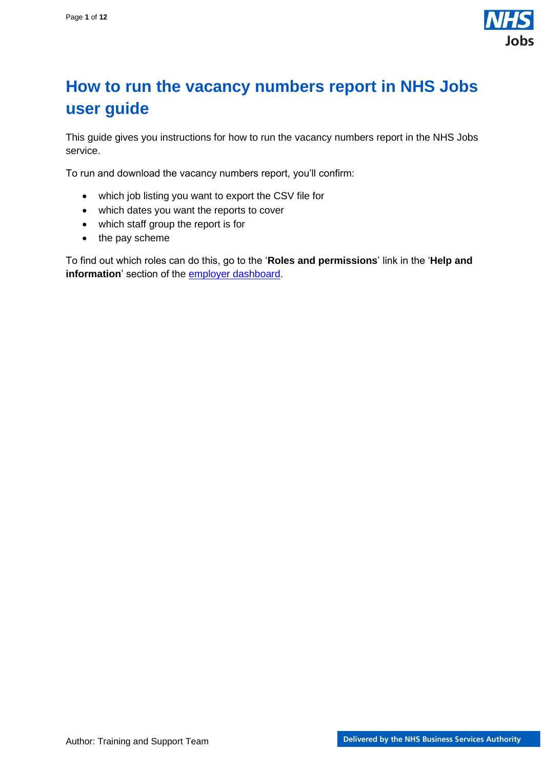

## <span id="page-0-0"></span>**How to run the vacancy numbers report in NHS Jobs user guide**

This guide gives you instructions for how to run the vacancy numbers report in the NHS Jobs service.

To run and download the vacancy numbers report, you'll confirm:

- which job listing you want to export the CSV file for
- which dates you want the reports to cover
- which staff group the report is for
- the pay scheme

To find out which roles can do this, go to the '**Roles and permissions**' link in the '**Help and information**' section of the **employer dashboard**.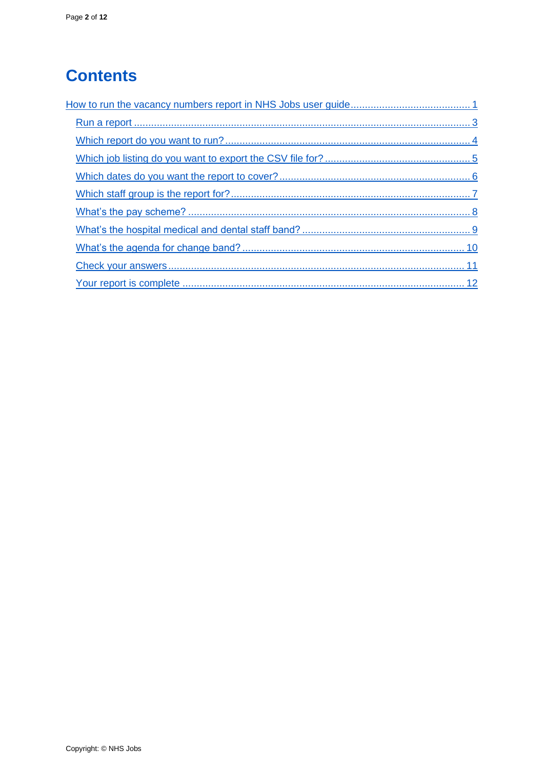# **Contents**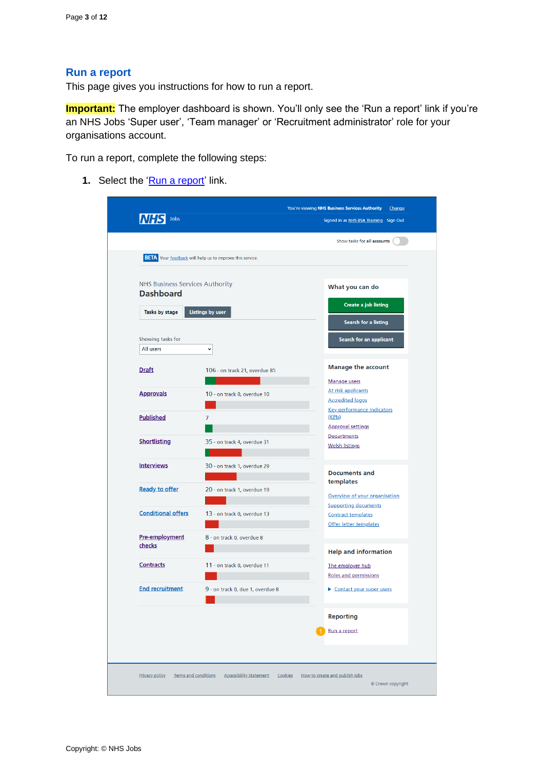#### <span id="page-2-0"></span>**Run a report**

This page gives you instructions for how to run a report.

**Important:** The employer dashboard is shown. You'll only see the 'Run a report' link if you're an NHS Jobs 'Super user', 'Team manager' or 'Recruitment administrator' role for your organisations account.

To run a report, complete the following steps:

**1.** Select the ['Run a report'](#page-3-0) link.

| Jobs                                                       |                                                                 | Signed in as NHS BSA Training Sign Out                                             |
|------------------------------------------------------------|-----------------------------------------------------------------|------------------------------------------------------------------------------------|
|                                                            |                                                                 | Show tasks for all accounts                                                        |
|                                                            | <b>BETA</b> Your feedback will help us to improve this service. |                                                                                    |
| <b>NHS Business Services Authority</b><br><b>Dashboard</b> |                                                                 | What you can do                                                                    |
| Tasks by stage                                             | <b>Listings by user</b>                                         | Create a job listing                                                               |
|                                                            |                                                                 | Search for a listing                                                               |
| Showing tasks for<br>All users                             | v                                                               | Search for an applicant                                                            |
| <b>Draft</b>                                               | 106 - on track 21, overdue 85                                   | <b>Manage the account</b>                                                          |
| <b>Approvals</b>                                           | 10 - on track 0, overdue 10                                     | Manage users<br>At risk applicants<br><b>Accredited logos</b>                      |
| <b>Published</b>                                           | 7                                                               | <b>Key performance indicators</b><br>(KPIs)<br><b>Approval settings</b>            |
| <b>Shortlisting</b>                                        | 35 - on track 4, overdue 31                                     | <b>Departments</b><br><b>Welsh listings</b>                                        |
| <b>Interviews</b>                                          | 30 - on track 1, overdue 29                                     | <b>Documents and</b>                                                               |
| <b>Ready to offer</b>                                      | 20 - on track 1, overdue 19                                     | templates<br>Overview of your organisation                                         |
| <b>Conditional offers</b>                                  | 13 - on track 0, overdue 13                                     | <b>Supporting documents</b><br><b>Contract templates</b><br>Offer letter templates |
| Pre-employment<br>checks                                   | 8 - on track 0, overdue 8                                       |                                                                                    |
| <b>Contracts</b>                                           | 11 - on track 0, overdue 11                                     | <b>Help and information</b><br>The employer hub<br><b>Roles and permissions</b>    |
| <b>End recruitment</b>                                     | 9 - on track 0, due 1, overdue 8                                | Contact your super users                                                           |
|                                                            |                                                                 | <b>Reporting</b>                                                                   |
|                                                            |                                                                 | Run a report                                                                       |
|                                                            |                                                                 |                                                                                    |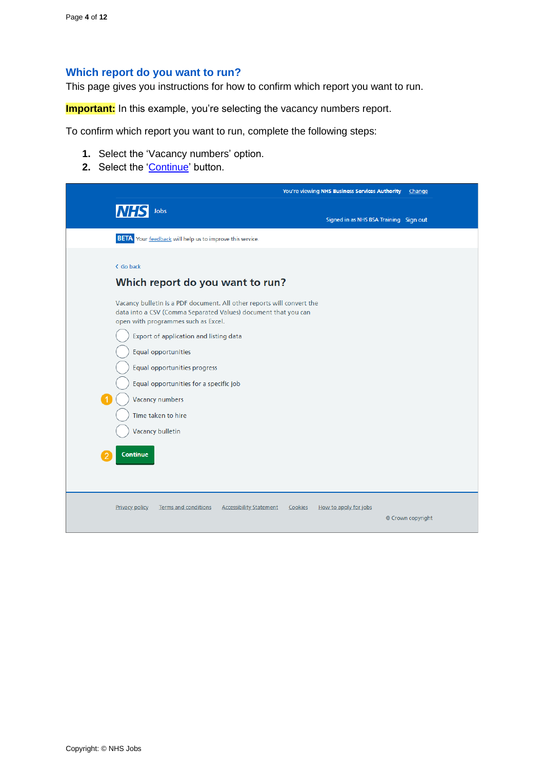### <span id="page-3-0"></span>**Which report do you want to run?**

This page gives you instructions for how to confirm which report you want to run.

**Important:** In this example, you're selecting the vacancy numbers report.

To confirm which report you want to run, complete the following steps:

- **1.** Select the 'Vacancy numbers' option.
- **2.** Select the ['Continue'](#page-4-0) button.

|                                                                                                                                                                                                                                                                                                                                                                                                                                                                    | You're viewing NHS Business Services Authority<br>Change |
|--------------------------------------------------------------------------------------------------------------------------------------------------------------------------------------------------------------------------------------------------------------------------------------------------------------------------------------------------------------------------------------------------------------------------------------------------------------------|----------------------------------------------------------|
| <b>NHS</b><br>Jobs                                                                                                                                                                                                                                                                                                                                                                                                                                                 | Signed in as NHS BSA Training Sign out                   |
| <b>BETA</b> Your feedback will help us to improve this service.                                                                                                                                                                                                                                                                                                                                                                                                    |                                                          |
| < Go back<br>Which report do you want to run?<br>Vacancy bulletin is a PDF document. All other reports will convert the<br>data into a CSV (Comma Separated Values) document that you can<br>open with programmes such as Excel.<br>Export of application and listing data<br>Equal opportunities<br>Equal opportunities progress<br>Equal opportunities for a specific job<br>Vacancy numbers<br>Time taken to hire<br><b>Vacancy bulletin</b><br><b>Continue</b> |                                                          |
|                                                                                                                                                                                                                                                                                                                                                                                                                                                                    |                                                          |
| <b>Privacy policy</b><br>Terms and conditions<br><b>Accessibility Statement</b>                                                                                                                                                                                                                                                                                                                                                                                    | How to apply for jobs<br>Cookies<br>© Crown copyright    |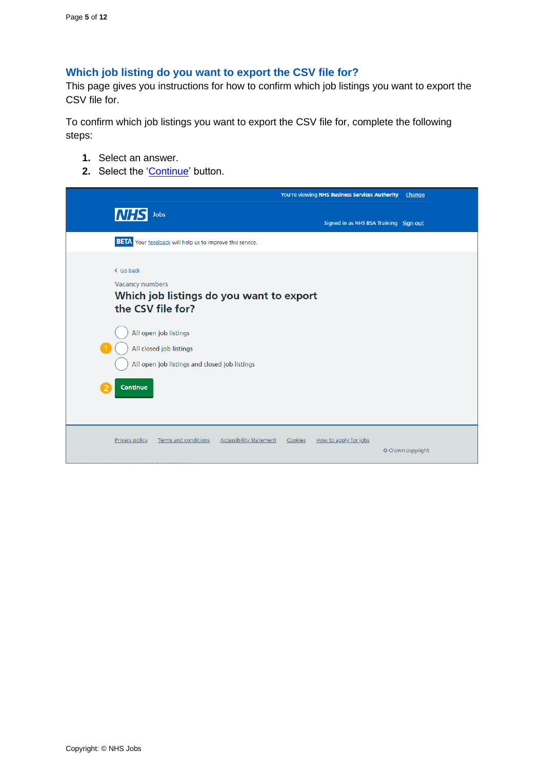## <span id="page-4-0"></span>**Which job listing do you want to export the CSV file for?**

This page gives you instructions for how to confirm which job listings you want to export the CSV file for.

To confirm which job listings you want to export the CSV file for, complete the following steps:

- **1.** Select an answer.
- **2.** Select the ['Continue'](#page-5-0) button.

|                                                                                                                                                                                                                       | You're viewing NHS Business Services Authority<br>Change |
|-----------------------------------------------------------------------------------------------------------------------------------------------------------------------------------------------------------------------|----------------------------------------------------------|
| <b>NHS</b><br>Jobs                                                                                                                                                                                                    | Signed in as NHS BSA Training Sign out                   |
| <b>BETA</b> Your feedback will help us to improve this service.                                                                                                                                                       |                                                          |
| < Go back<br>Vacancy numbers<br>Which job listings do you want to export<br>the CSV file for?<br>All open job listings<br>All closed job listings<br>All open job listings and closed job listings<br><b>Continue</b> |                                                          |
| <b>Privacy policy</b><br><b>Terms and conditions</b><br><b>Accessibility Statement</b>                                                                                                                                | Cookies<br>How to apply for jobs<br>© Crown copyright    |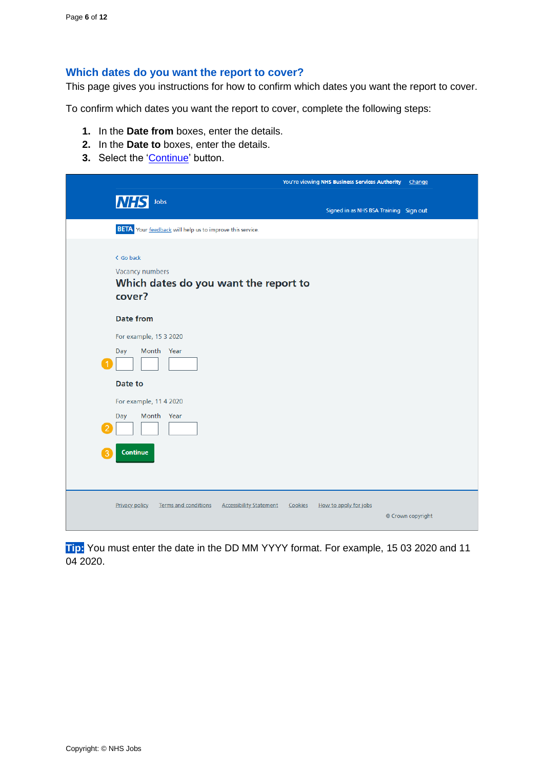#### <span id="page-5-0"></span>**Which dates do you want the report to cover?**

This page gives you instructions for how to confirm which dates you want the report to cover.

To confirm which dates you want the report to cover, complete the following steps:

- **1.** In the **Date from** boxes, enter the details.
- **2.** In the **Date to** boxes, enter the details.
- **3.** Select the ['Continue'](#page-6-0) button.

|                                                                                        | You're viewing NHS Business Services Authority<br>Change |
|----------------------------------------------------------------------------------------|----------------------------------------------------------|
| <b>NHS</b> Jobs                                                                        | Signed in as NHS BSA Training Sign out                   |
| <b>BETA</b> Your feedback will help us to improve this service.                        |                                                          |
| < Go back<br><b>Vacancy numbers</b><br>Which dates do you want the report to<br>cover? |                                                          |
| <b>Date from</b>                                                                       |                                                          |
| For example, 15 3 2020<br>Month Year<br>Day                                            |                                                          |
| Date to                                                                                |                                                          |
| For example, 11 4 2020                                                                 |                                                          |
| Month Year<br>Day                                                                      |                                                          |
| Continue                                                                               |                                                          |
| <b>Privacy policy</b><br>Terms and conditions<br><b>Accessibility Statement</b>        | How to apply for jobs<br>Cookies<br>© Crown copyright    |

**Tip:** You must enter the date in the DD MM YYYY format. For example, 15 03 2020 and 11 04 2020.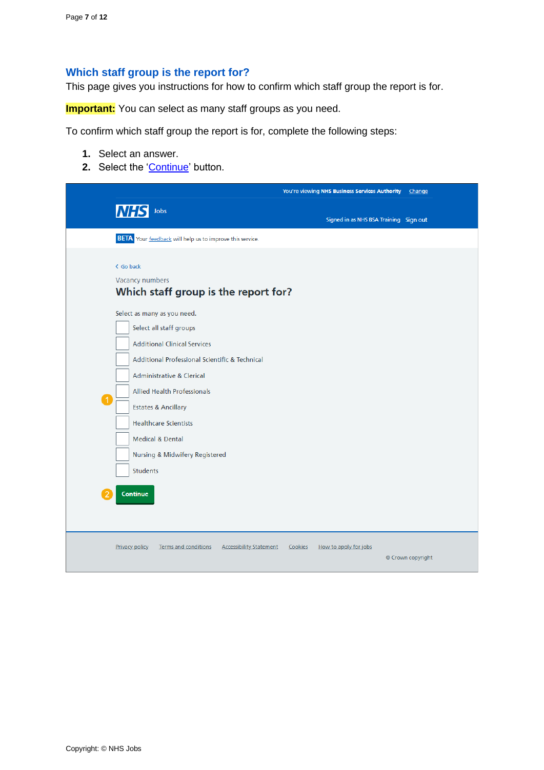## <span id="page-6-0"></span>**Which staff group is the report for?**

This page gives you instructions for how to confirm which staff group the report is for.

**Important:** You can select as many staff groups as you need.

To confirm which staff group the report is for, complete the following steps:

- **1.** Select an answer.
- **2.** Select the ['Continue'](#page-7-0) button.

|                      |                                                                                                                                                                                                                                                                                                                                                                                      |                                |         | You're viewing NHS Business Services Authority | Change            |
|----------------------|--------------------------------------------------------------------------------------------------------------------------------------------------------------------------------------------------------------------------------------------------------------------------------------------------------------------------------------------------------------------------------------|--------------------------------|---------|------------------------------------------------|-------------------|
|                      | <b>NHS</b> Jobs                                                                                                                                                                                                                                                                                                                                                                      |                                |         | Signed in as NHS BSA Training Sign out         |                   |
|                      | <b>BETA</b> Your feedback will help us to improve this service.                                                                                                                                                                                                                                                                                                                      |                                |         |                                                |                   |
|                      | < Go back<br><b>Vacancy numbers</b><br>Which staff group is the report for?                                                                                                                                                                                                                                                                                                          |                                |         |                                                |                   |
| $\blacktriangleleft$ | Select as many as you need.<br>Select all staff groups<br><b>Additional Clinical Services</b><br>Additional Professional Scientific & Technical<br>Administrative & Clerical<br><b>Allied Health Professionals</b><br><b>Estates &amp; Ancillary</b><br><b>Healthcare Scientists</b><br><b>Medical &amp; Dental</b><br>Nursing & Midwifery Registered<br><b>Students</b><br>Continue |                                |         |                                                |                   |
|                      | Privacy policy<br>Terms and conditions                                                                                                                                                                                                                                                                                                                                               | <b>Accessibility Statement</b> | Cookies | How to apply for jobs                          | © Crown copyright |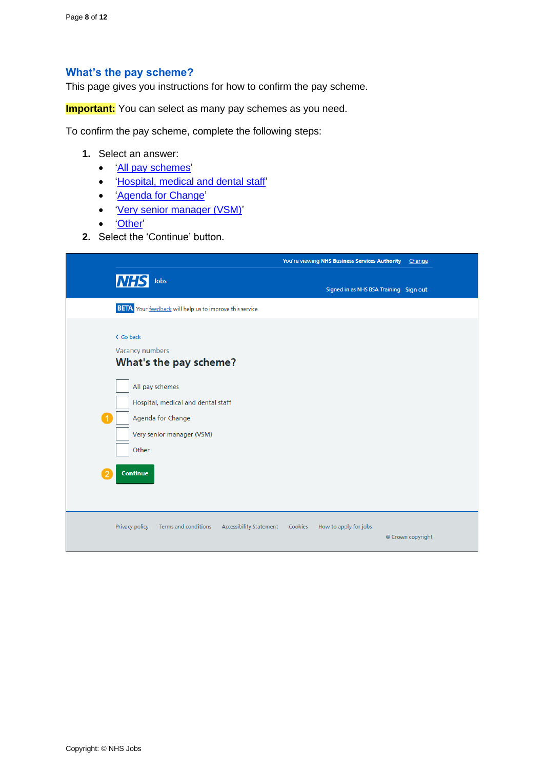#### <span id="page-7-0"></span>**What's the pay scheme?**

This page gives you instructions for how to confirm the pay scheme.

**Important:** You can select as many pay schemes as you need.

To confirm the pay scheme, complete the following steps:

- **1.** Select an answer:
	- 'All [pay schemes'](#page-10-0)
	- ['Hospital, medical and dental staff'](#page-8-0)
	- ['Agenda for Change'](#page-9-0)
	- ['Very senior manager \(VSM\)'](#page-10-0)
	- ['Other'](#page-10-0)
- **2.** Select the 'Continue' button.

|                                                                                                                                                                                        | You're viewing NHS Business Services Authority<br>Change                                |
|----------------------------------------------------------------------------------------------------------------------------------------------------------------------------------------|-----------------------------------------------------------------------------------------|
| <b>NHS</b><br>Jobs                                                                                                                                                                     | Signed in as NHS BSA Training Sign out                                                  |
| <b>BETA</b> Your feedback will help us to improve this service.                                                                                                                        |                                                                                         |
| < Go back<br>Vacancy numbers<br>What's the pay scheme?<br>All pay schemes<br>Hospital, medical and dental staff<br>Agenda for Change<br>Very senior manager (VSM)<br>Other<br>Continue |                                                                                         |
| Terms and conditions<br><b>Privacy policy</b>                                                                                                                                          | <b>Accessibility Statement</b><br>Cookies<br>How to apply for jobs<br>© Crown copyright |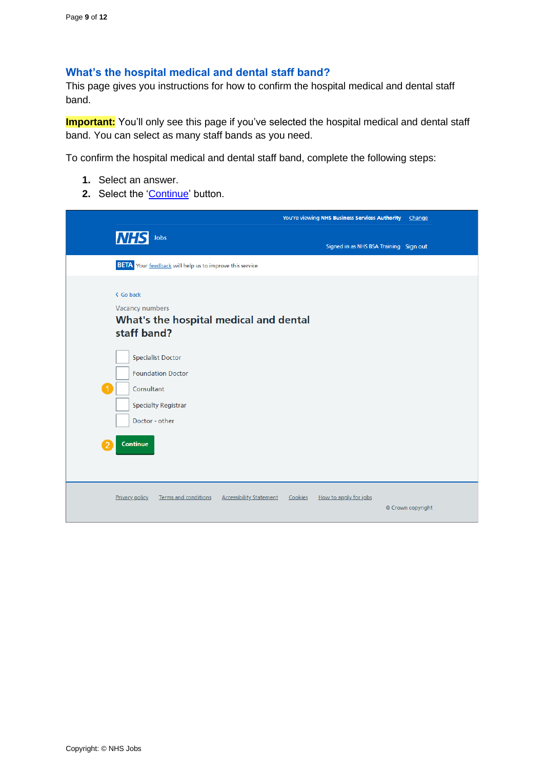## <span id="page-8-0"></span>**What's the hospital medical and dental staff band?**

This page gives you instructions for how to confirm the hospital medical and dental staff band.

**Important:** You'll only see this page if you've selected the hospital medical and dental staff band. You can select as many staff bands as you need.

To confirm the hospital medical and dental staff band, complete the following steps:

- **1.** Select an answer.
- **2.** Select the ['Continue'](#page-10-0) button.

|                                                                                                                                       | You're viewing NHS Business Services Authority<br>Change |
|---------------------------------------------------------------------------------------------------------------------------------------|----------------------------------------------------------|
| <b>NHS</b><br>Jobs                                                                                                                    | Signed in as NHS BSA Training Sign out                   |
| <b>BETA</b> Your feedback will help us to improve this service.                                                                       |                                                          |
| < Go back<br>Vacancy numbers<br>What's the hospital medical and dental<br>staff band?                                                 |                                                          |
| <b>Specialist Doctor</b><br><b>Foundation Doctor</b><br>Consultant<br><b>Specialty Registrar</b><br>Doctor - other<br><b>Continue</b> |                                                          |
| <b>Terms and conditions</b><br><b>Accessibility Statement</b><br><b>Privacy policy</b>                                                | Cookies<br>How to apply for jobs<br>© Crown copyright    |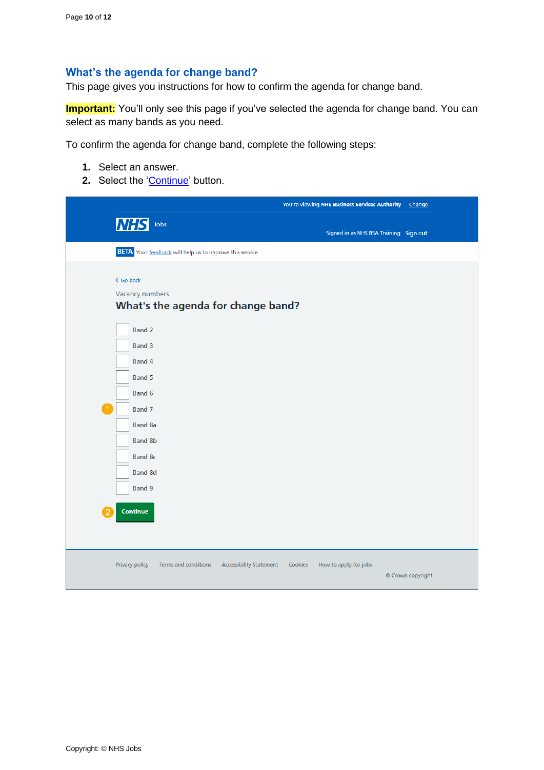## <span id="page-9-0"></span>**What's the agenda for change band?**

This page gives you instructions for how to confirm the agenda for change band.

**Important:** You'll only see this page if you've selected the agenda for change band. You can select as many bands as you need.

To confirm the agenda for change band, complete the following steps:

- **1.** Select an answer.
- 2. Select the ['Continue'](#page-10-0) button.

|                                                                                                                                         | You're viewing NHS Business Services Authority<br>Change |
|-----------------------------------------------------------------------------------------------------------------------------------------|----------------------------------------------------------|
| <b>NHS</b> Jobs                                                                                                                         | Signed in as NHS BSA Training Sign out                   |
| <b>BETA</b> Your feedback will help us to improve this service.                                                                         |                                                          |
| < Go back<br><b>Vacancy numbers</b><br>What's the agenda for change band?                                                               |                                                          |
| <b>Band 2</b><br>Band 3<br>Band 4<br>Band 5<br>Band 6<br>$\overline{1}$<br>Band 7<br><b>Band 8a</b><br><b>Band 8b</b><br><b>Band 8c</b> |                                                          |
| <b>Band 8d</b><br>Band 9                                                                                                                |                                                          |
| Continue                                                                                                                                |                                                          |
| <b>Privacy policy</b><br>Terms and conditions<br><b>Accessibility Statement</b>                                                         | Cookies<br>How to apply for jobs<br>© Crown copyright    |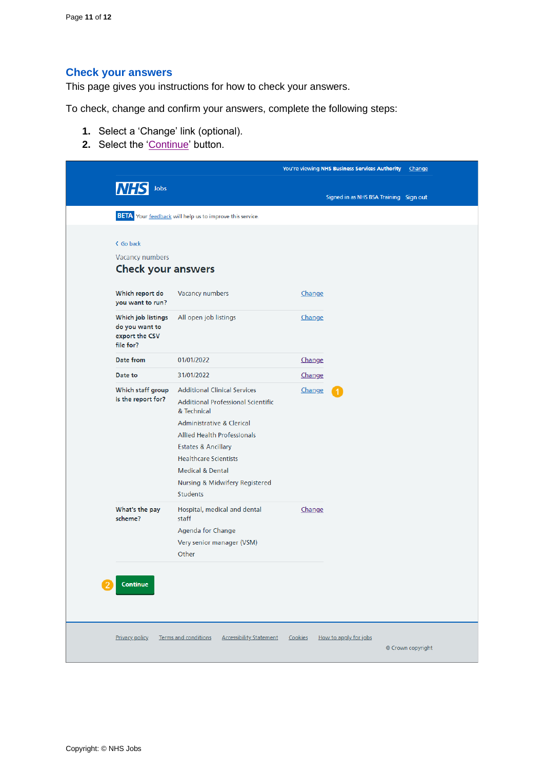## <span id="page-10-0"></span>**Check your answers**

This page gives you instructions for how to check your answers.

To check, change and confirm your answers, complete the following steps:

- **1.** Select a 'Change' link (optional).
- 2. Select the ['Continue'](#page-11-0) button.

|                                                                     |                                                                                                 | You're viewing NHS Business Services Authority | <b>Change</b>     |
|---------------------------------------------------------------------|-------------------------------------------------------------------------------------------------|------------------------------------------------|-------------------|
| <b>NHS</b> Jobs                                                     |                                                                                                 |                                                |                   |
|                                                                     |                                                                                                 | Signed in as NHS BSA Training Sign out         |                   |
|                                                                     | <b>BETA</b> Your feedback will help us to improve this service.                                 |                                                |                   |
|                                                                     |                                                                                                 |                                                |                   |
| < Go back                                                           |                                                                                                 |                                                |                   |
| <b>Vacancy numbers</b>                                              |                                                                                                 |                                                |                   |
| <b>Check your answers</b>                                           |                                                                                                 |                                                |                   |
| Which report do<br>you want to run?                                 | Vacancy numbers                                                                                 | Change                                         |                   |
| Which job listings<br>do you want to<br>export the CSV<br>file for? | All open job listings                                                                           | <b>Change</b>                                  |                   |
| Date from                                                           | 01/01/2022                                                                                      | Change                                         |                   |
| Date to                                                             | 31/01/2022                                                                                      | Change                                         |                   |
| Which staff group<br>is the report for?                             | <b>Additional Clinical Services</b><br><b>Additional Professional Scientific</b><br>& Technical | Change                                         |                   |
|                                                                     | Administrative & Clerical                                                                       |                                                |                   |
|                                                                     | <b>Allied Health Professionals</b>                                                              |                                                |                   |
|                                                                     | <b>Estates &amp; Ancillary</b><br><b>Healthcare Scientists</b>                                  |                                                |                   |
|                                                                     | <b>Medical &amp; Dental</b>                                                                     |                                                |                   |
|                                                                     | Nursing & Midwifery Registered                                                                  |                                                |                   |
|                                                                     | <b>Students</b>                                                                                 |                                                |                   |
| What's the pay<br>scheme?                                           | Hospital, medical and dental<br>staff                                                           | Change                                         |                   |
|                                                                     | Agenda for Change                                                                               |                                                |                   |
|                                                                     | Very senior manager (VSM)                                                                       |                                                |                   |
|                                                                     | Other                                                                                           |                                                |                   |
| Continue                                                            |                                                                                                 |                                                |                   |
|                                                                     |                                                                                                 |                                                |                   |
| <b>Privacy policy</b>                                               | <b>Accessibility Statement</b><br>Terms and conditions                                          | Cookies<br>How to apply for jobs               | © Crown copyright |